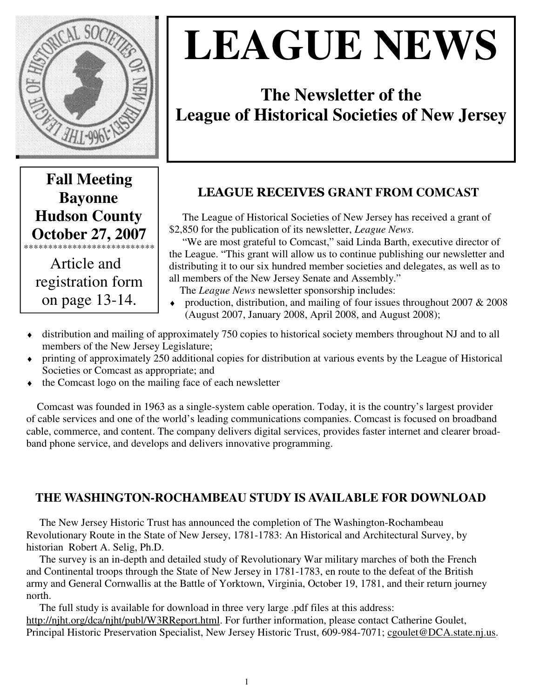

# **LEAGUE NEWS**

# **The Newsletter of the League of Historical Societies of New Jersey**

# **Fall Meeting Bayonne Hudson County October 27, 2007**  \*\*\*\*\*\*\*\*\*\*\*\*\*\*\*\*\*\*\*\*\*\*\*\*\*\*\*

 Article and registration form on page 13-14.

# LEAGUE RECEIVES **GRANT FROM COMCAST**

 The League of Historical Societies of New Jersey has received a grant of \$2,850 for the publication of its newsletter, *League News*.

 "We are most grateful to Comcast," said Linda Barth, executive director of the League. "This grant will allow us to continue publishing our newsletter and distributing it to our six hundred member societies and delegates, as well as to all members of the New Jersey Senate and Assembly."

The *League News* newsletter sponsorship includes:

- production, distribution, and mailing of four issues throughout 2007  $& 2008$ (August 2007, January 2008, April 2008, and August 2008);
- ♦ distribution and mailing of approximately 750 copies to historical society members throughout NJ and to all members of the New Jersey Legislature;
- ♦ printing of approximately 250 additional copies for distribution at various events by the League of Historical Societies or Comcast as appropriate; and
- the Comcast logo on the mailing face of each newsletter

 Comcast was founded in 1963 as a single-system cable operation. Today, it is the country's largest provider of cable services and one of the world's leading communications companies. Comcast is focused on broadband cable, commerce, and content. The company delivers digital services, provides faster internet and clearer broadband phone service, and develops and delivers innovative programming.

## **THE WASHINGTON-ROCHAMBEAU STUDY IS AVAILABLE FOR DOWNLOAD**

 The New Jersey Historic Trust has announced the completion of The Washington-Rochambeau Revolutionary Route in the State of New Jersey, 1781-1783: An Historical and Architectural Survey, by historian Robert A. Selig, Ph.D.

 The survey is an in-depth and detailed study of Revolutionary War military marches of both the French and Continental troops through the State of New Jersey in 1781-1783, en route to the defeat of the British army and General Cornwallis at the Battle of Yorktown, Virginia, October 19, 1781, and their return journey north.

 The full study is available for download in three very large .pdf files at this address: http://njht.org/dca/njht/publ/W3RReport.html. For further information, please contact Catherine Goulet, Principal Historic Preservation Specialist, New Jersey Historic Trust, 609-984-7071; cgoulet@DCA.state.nj.us.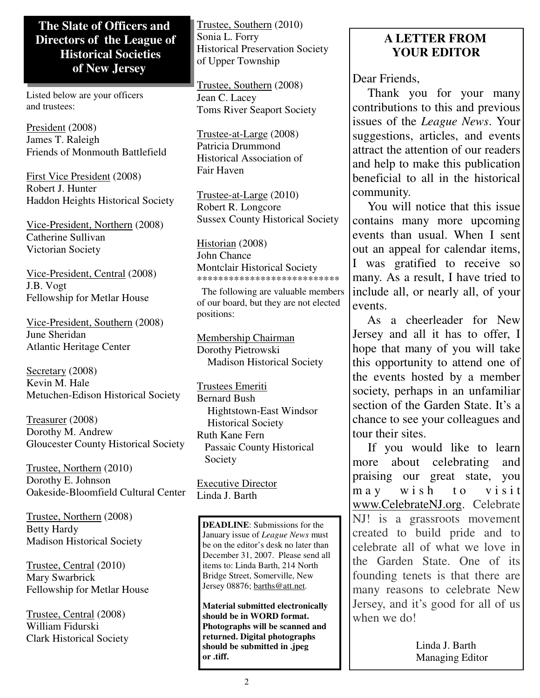#### **The Slate of Officers and Directors of the League of Historical Societies of New Jersey**

Listed below are your officers and trustees:

President (2008) James T. Raleigh Friends of Monmouth Battlefield

First Vice President (2008) Robert J. Hunter Haddon Heights Historical Society

Vice-President, Northern (2008) Catherine Sullivan Victorian Society

Vice-President, Central (2008) J.B. Vogt Fellowship for Metlar House

Vice-President, Southern (2008) June Sheridan Atlantic Heritage Center

Secretary (2008) Kevin M. Hale Metuchen-Edison Historical Society

Treasurer (2008) Dorothy M. Andrew Gloucester County Historical Society

Trustee, Northern (2010) Dorothy E. Johnson Oakeside-Bloomfield Cultural Center

Trustee, Northern (2008) Betty Hardy Madison Historical Society

Trustee, Central (2010) Mary Swarbrick Fellowship for Metlar House

Trustee, Central (2008) William Fidurski Clark Historical Society Trustee, Southern (2010) Sonia L. Forry Historical Preservation Society of Upper Township

Trustee, Southern (2008) Jean C. Lacey Toms River Seaport Society

Trustee-at-Large (2008) Patricia Drummond Historical Association of Fair Haven

Trustee-at-Large (2010) Robert R. Longcore Sussex County Historical Society

Historian (2008) John Chance Montclair Historical Society \*\*\*\*\*\*\*\*\*\*\*\*\*\*\*\*\*\*\*\*\*\*\*\*\*\*\*

 The following are valuable members of our board, but they are not elected positions:

Membership Chairman Dorothy Pietrowski Madison Historical Society

Trustees Emeriti Bernard Bush Hightstown-East Windsor Historical Society Ruth Kane Fern Passaic County Historical Society

Executive Director Linda J. Barth

**DEADLINE**: Submissions for the January issue of *League News* must be on the editor's desk no later than December 31, 2007. Please send all items to: Linda Barth, 214 North Bridge Street, Somerville, New Jersey 08876; barths@att.net.

**Material submitted electronically should be in WORD format. Photographs will be scanned and returned. Digital photographs should be submitted in .jpeg or .tiff.** 

## **A LETTER FROM YOUR EDITOR**

Dear Friends.

 Thank you for your many contributions to this and previous issues of the *League News*. Your suggestions, articles, and events attract the attention of our readers and help to make this publication beneficial to all in the historical community.

 You will notice that this issue contains many more upcoming events than usual. When I sent out an appeal for calendar items, I was gratified to receive so many. As a result, I have tried to include all, or nearly all, of your events.

 As a cheerleader for New Jersey and all it has to offer, I hope that many of you will take this opportunity to attend one of the events hosted by a member society, perhaps in an unfamiliar section of the Garden State. It's a chance to see your colleagues and tour their sites.

 If you would like to learn more about celebrating and praising our great state, you may wish to visit www.CelebrateNJ.org. Celebrate NJ! is a grassroots movement created to build pride and to celebrate all of what we love in the Garden State. One of its founding tenets is that there are many reasons to celebrate New Jersey, and it's good for all of us when we do!

> Linda J. Barth Managing Editor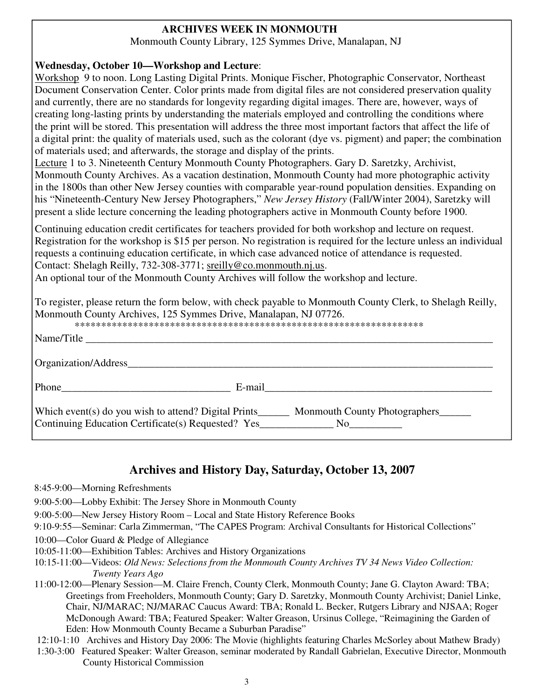#### **ARCHIVES WEEK IN MONMOUTH**

Monmouth County Library, 125 Symmes Drive, Manalapan, NJ

#### **Wednesday, October 10—Workshop and Lecture**:

Workshop 9 to noon. Long Lasting Digital Prints. Monique Fischer, Photographic Conservator, Northeast Document Conservation Center. Color prints made from digital files are not considered preservation quality and currently, there are no standards for longevity regarding digital images. There are, however, ways of creating long-lasting prints by understanding the materials employed and controlling the conditions where the print will be stored. This presentation will address the three most important factors that affect the life of a digital print: the quality of materials used, such as the colorant (dye vs. pigment) and paper; the combination of materials used; and afterwards, the storage and display of the prints.

Lecture 1 to 3. Nineteenth Century Monmouth County Photographers. Gary D. Saretzky, Archivist, Monmouth County Archives. As a vacation destination, Monmouth County had more photographic activity in the 1800s than other New Jersey counties with comparable year-round population densities. Expanding on his "Nineteenth-Century New Jersey Photographers," *New Jersey History* (Fall/Winter 2004), Saretzky will present a slide lecture concerning the leading photographers active in Monmouth County before 1900.

Continuing education credit certificates for teachers provided for both workshop and lecture on request. Registration for the workshop is \$15 per person. No registration is required for the lecture unless an individual requests a continuing education certificate, in which case advanced notice of attendance is requested. Contact: Shelagh Reilly, 732-308-3771; sreilly@co.monmouth.nj.us.

An optional tour of the Monmouth County Archives will follow the workshop and lecture.

To register, please return the form below, with check payable to Monmouth County Clerk, to Shelagh Reilly, Monmouth County Archives, 125 Symmes Drive, Manalapan, NJ 07726.

| Name/Title                                                                                                                               |                                           |
|------------------------------------------------------------------------------------------------------------------------------------------|-------------------------------------------|
| Organization/Address                                                                                                                     |                                           |
| Phone                                                                                                                                    | E-mail                                    |
| Which event(s) do you wish to attend? Digital Prints<br>Continuing Education Certificate(s) Requested? Yes______________________________ | Monmouth County Photographers<br>$\rm No$ |

## **Archives and History Day, Saturday, October 13, 2007**

- 8:45-9:00—Morning Refreshments
- 9:00-5:00—Lobby Exhibit: The Jersey Shore in Monmouth County
- 9:00-5:00—New Jersey History Room Local and State History Reference Books
- 9:10-9:55—Seminar: Carla Zimmerman, "The CAPES Program: Archival Consultants for Historical Collections"
- 10:00—Color Guard & Pledge of Allegiance
- 10:05-11:00—Exhibition Tables: Archives and History Organizations
- 10:15-11:00—Videos: *Old News: Selections from the Monmouth County Archives TV 34 News Video Collection: Twenty Years Ago*

11:00-12:00—Plenary Session—M. Claire French, County Clerk, Monmouth County; Jane G. Clayton Award: TBA; Greetings from Freeholders, Monmouth County; Gary D. Saretzky, Monmouth County Archivist; Daniel Linke, Chair, NJ/MARAC; NJ/MARAC Caucus Award: TBA; Ronald L. Becker, Rutgers Library and NJSAA; Roger McDonough Award: TBA; Featured Speaker: Walter Greason, Ursinus College, "Reimagining the Garden of Eden: How Monmouth County Became a Suburban Paradise"

12:10-1:10 Archives and History Day 2006: The Movie (highlights featuring Charles McSorley about Mathew Brady)

1:30-3:00 Featured Speaker: Walter Greason, seminar moderated by Randall Gabrielan, Executive Director, Monmouth County Historical Commission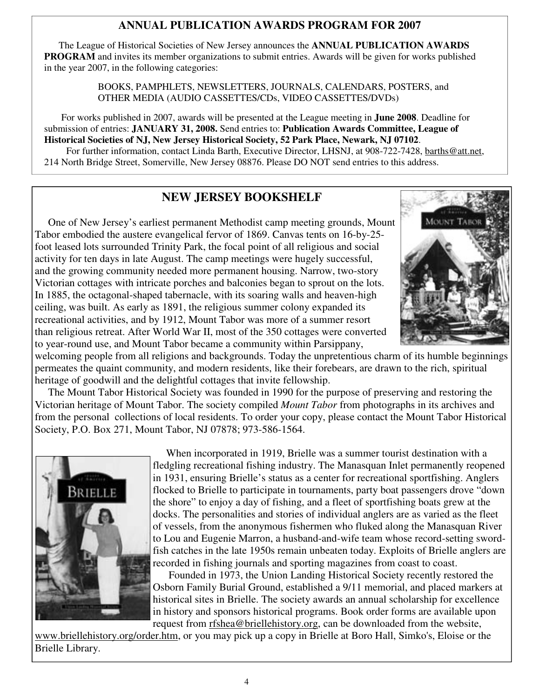#### **ANNUAL PUBLICATION AWARDS PROGRAM FOR 2007**

 The League of Historical Societies of New Jersey announces the **ANNUAL PUBLICATION AWARDS PROGRAM** and invites its member organizations to submit entries. Awards will be given for works published in the year 2007, in the following categories:

> BOOKS, PAMPHLETS, NEWSLETTERS, JOURNALS, CALENDARS, POSTERS, and OTHER MEDIA (AUDIO CASSETTES/CDs, VIDEO CASSETTES/DVDs)

 For works published in 2007, awards will be presented at the League meeting in **June 2008**. Deadline for submission of entries: **JANUARY 31, 2008.** Send entries to: **Publication Awards Committee, League of Historical Societies of NJ, New Jersey Historical Society, 52 Park Place, Newark, NJ 07102**. For further information, contact Linda Barth, Executive Director, LHSNJ, at 908-722-7428, barths@att.net, 214 North Bridge Street, Somerville, New Jersey 08876. Please DO NOT send entries to this address.

## **NEW JERSEY BOOKSHELF**

One of New Jersey's earliest permanent Methodist camp meeting grounds, Mount Tabor embodied the austere evangelical fervor of 1869. Canvas tents on 16-by-25 foot leased lots surrounded Trinity Park, the focal point of all religious and social activity for ten days in late August. The camp meetings were hugely successful, and the growing community needed more permanent housing. Narrow, two-story Victorian cottages with intricate porches and balconies began to sprout on the lots. In 1885, the octagonal-shaped tabernacle, with its soaring walls and heaven-high ceiling, was built. As early as 1891, the religious summer colony expanded its recreational activities, and by 1912, Mount Tabor was more of a summer resort than religious retreat. After World War II, most of the 350 cottages were converted to year-round use, and Mount Tabor became a community within Parsippany,



welcoming people from all religions and backgrounds. Today the unpretentious charm of its humble beginnings permeates the quaint community, and modern residents, like their forebears, are drawn to the rich, spiritual heritage of goodwill and the delightful cottages that invite fellowship.

 The Mount Tabor Historical Society was founded in 1990 for the purpose of preserving and restoring the Victorian heritage of Mount Tabor. The society compiled *Mount Tabor* from photographs in its archives and from the personal collections of local residents. To order your copy, please contact the Mount Tabor Historical Society, P.O. Box 271, Mount Tabor, NJ 07878; 973-586-1564.



 When incorporated in 1919, Brielle was a summer tourist destination with a fledgling recreational fishing industry. The Manasquan Inlet permanently reopened in 1931, ensuring Brielle's status as a center for recreational sportfishing. Anglers flocked to Brielle to participate in tournaments, party boat passengers drove "down the shore" to enjoy a day of fishing, and a fleet of sportfishing boats grew at the docks. The personalities and stories of individual anglers are as varied as the fleet of vessels, from the anonymous fishermen who fluked along the Manasquan River to Lou and Eugenie Marron, a husband-and-wife team whose record-setting swordfish catches in the late 1950s remain unbeaten today. Exploits of Brielle anglers are recorded in fishing journals and sporting magazines from coast to coast.

 Founded in 1973, the Union Landing Historical Society recently restored the Osborn Family Burial Ground, established a 9/11 memorial, and placed markers at historical sites in Brielle. The society awards an annual scholarship for excellence in history and sponsors historical programs. Book order forms are available upon request from rfshea@briellehistory.org, can be downloaded from the website,

www.briellehistory.org/order.htm, or you may pick up a copy in Brielle at Boro Hall, Simko's, Eloise or the Brielle Library.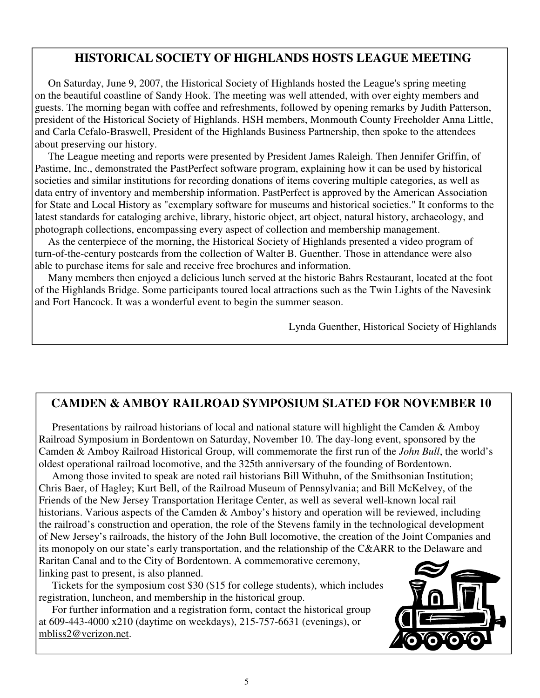## **HISTORICAL SOCIETY OF HIGHLANDS HOSTS LEAGUE MEETING**

 On Saturday, June 9, 2007, the Historical Society of Highlands hosted the League's spring meeting on the beautiful coastline of Sandy Hook. The meeting was well attended, with over eighty members and guests. The morning began with coffee and refreshments, followed by opening remarks by Judith Patterson, president of the Historical Society of Highlands. HSH members, Monmouth County Freeholder Anna Little, and Carla Cefalo-Braswell, President of the Highlands Business Partnership, then spoke to the attendees about preserving our history.

 The League meeting and reports were presented by President James Raleigh. Then Jennifer Griffin, of Pastime, Inc., demonstrated the PastPerfect software program, explaining how it can be used by historical societies and similar institutions for recording donations of items covering multiple categories, as well as data entry of inventory and membership information. PastPerfect is approved by the American Association for State and Local History as "exemplary software for museums and historical societies." It conforms to the latest standards for cataloging archive, library, historic object, art object, natural history, archaeology, and photograph collections, encompassing every aspect of collection and membership management.

 As the centerpiece of the morning, the Historical Society of Highlands presented a video program of turn-of-the-century postcards from the collection of Walter B. Guenther. Those in attendance were also able to purchase items for sale and receive free brochures and information.

 Many members then enjoyed a delicious lunch served at the historic Bahrs Restaurant, located at the foot of the Highlands Bridge. Some participants toured local attractions such as the Twin Lights of the Navesink and Fort Hancock. It was a wonderful event to begin the summer season.

Lynda Guenther, Historical Society of Highlands

## **CAMDEN & AMBOY RAILROAD SYMPOSIUM SLATED FOR NOVEMBER 10**

 Presentations by railroad historians of local and national stature will highlight the Camden & Amboy Railroad Symposium in Bordentown on Saturday, November 10. The day-long event, sponsored by the Camden & Amboy Railroad Historical Group, will commemorate the first run of the *John Bull*, the world's oldest operational railroad locomotive, and the 325th anniversary of the founding of Bordentown.

 Among those invited to speak are noted rail historians Bill Withuhn, of the Smithsonian Institution; Chris Baer, of Hagley; Kurt Bell, of the Railroad Museum of Pennsylvania; and Bill McKelvey, of the Friends of the New Jersey Transportation Heritage Center, as well as several well-known local rail historians. Various aspects of the Camden & Amboy's history and operation will be reviewed, including the railroad's construction and operation, the role of the Stevens family in the technological development of New Jersey's railroads, the history of the John Bull locomotive, the creation of the Joint Companies and its monopoly on our state's early transportation, and the relationship of the C&ARR to the Delaware and Raritan Canal and to the City of Bordentown. A commemorative ceremony,

linking past to present, is also planned.

 Tickets for the symposium cost \$30 (\$15 for college students), which includes registration, luncheon, and membership in the historical group.

 For further information and a registration form, contact the historical group at 609-443-4000 x210 (daytime on weekdays), 215-757-6631 (evenings), or mbliss2@verizon.net.

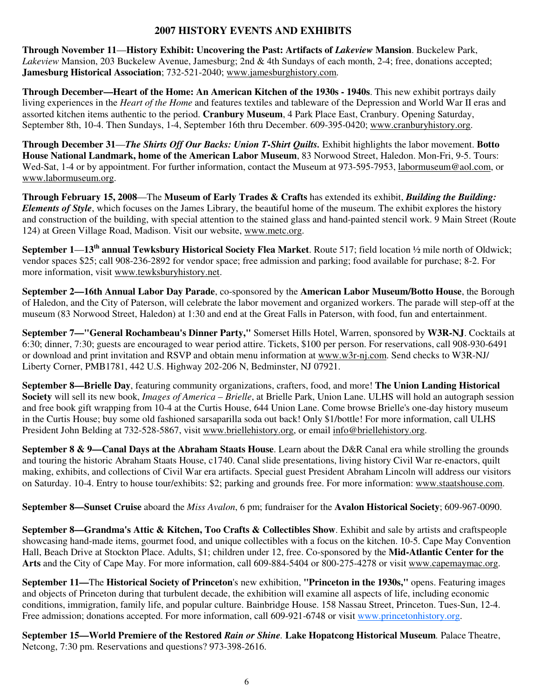#### **2007 HISTORY EVENTS AND EXHIBITS**

**Through November 11**—**History Exhibit: Uncovering the Past: Artifacts of** *Lakeview* **Mansion**. Buckelew Park, *Lakeview* Mansion, 203 Buckelew Avenue, Jamesburg; 2nd & 4th Sundays of each month, 2-4; free, donations accepted; **Jamesburg Historical Association**; 732-521-2040; www.jamesburghistory.com.

**Through December—Heart of the Home: An American Kitchen of the 1930s - 1940s**. This new exhibit portrays daily living experiences in the *Heart of the Home* and features textiles and tableware of the Depression and World War II eras and assorted kitchen items authentic to the period. **Cranbury Museum**, 4 Park Place East, Cranbury. Opening Saturday, September 8th, 10-4. Then Sundays, 1-4, September 16th thru December. 609-395-0420; www.cranburyhistory.org.

**Through December 31**—*The Shirts Off Our Backs: Union T-Shirt Quilts.* Exhibit highlights the labor movement. **Botto House National Landmark, home of the American Labor Museum**, 83 Norwood Street, Haledon. Mon-Fri, 9-5. Tours: Wed-Sat, 1-4 or by appointment. For further information, contact the Museum at 973-595-7953, labormuseum@aol.com, or www.labormuseum.org.

**Through February 15, 2008**—The **Museum of Early Trades & Crafts** has extended its exhibit, *Building the Building: Elements of Style*, which focuses on the James Library, the beautiful home of the museum. The exhibit explores the history and construction of the building, with special attention to the stained glass and hand-painted stencil work. 9 Main Street (Route 124) at Green Village Road, Madison. Visit our website, www.metc.org.

**September 1**—**13th annual Tewksbury Historical Society Flea Market**. Route 517; field location ½ mile north of Oldwick; vendor spaces \$25; call 908-236-2892 for vendor space; free admission and parking; food available for purchase; 8-2. For more information, visit www.tewksburyhistory.net.

**September 2—16th Annual Labor Day Parade**, co-sponsored by the **American Labor Museum/Botto House**, the Borough of Haledon, and the City of Paterson, will celebrate the labor movement and organized workers. The parade will step-off at the museum (83 Norwood Street, Haledon) at 1:30 and end at the Great Falls in Paterson, with food, fun and entertainment.

**September 7—"General Rochambeau's Dinner Party,"** Somerset Hills Hotel, Warren, sponsored by **W3R-NJ**. Cocktails at 6:30; dinner, 7:30; guests are encouraged to wear period attire. Tickets, \$100 per person. For reservations, call 908-930-6491 or download and print invitation and RSVP and obtain menu information at www.w3r-nj.com. Send checks to W3R-NJ/ Liberty Corner, PMB1781, 442 U.S. Highway 202-206 N, Bedminster, NJ 07921.

**September 8—Brielle Day**, featuring community organizations, crafters, food, and more! **The Union Landing Historical Society** will sell its new book, *Images of America – Brielle*, at Brielle Park, Union Lane. ULHS will hold an autograph session and free book gift wrapping from 10-4 at the Curtis House, 644 Union Lane. Come browse Brielle's one-day history museum in the Curtis House; buy some old fashioned sarsaparilla soda out back! Only \$1/bottle! For more information, call ULHS President John Belding at 732-528-5867, visit www.briellehistory.org, or email info@briellehistory.org.

**September 8 & 9—Canal Days at the Abraham Staats House**. Learn about the D&R Canal era while strolling the grounds and touring the historic Abraham Staats House, c1740. Canal slide presentations, living history Civil War re-enactors, quilt making, exhibits, and collections of Civil War era artifacts. Special guest President Abraham Lincoln will address our visitors on Saturday. 10-4. Entry to house tour/exhibits: \$2; parking and grounds free. For more information: www.staatshouse.com.

**September 8—Sunset Cruise** aboard the *Miss Avalon*, 6 pm; fundraiser for the **Avalon Historical Society**; 609-967-0090.

**September 8—Grandma's Attic & Kitchen, Too Crafts & Collectibles Show**. Exhibit and sale by artists and craftspeople showcasing hand-made items, gourmet food, and unique collectibles with a focus on the kitchen. 10-5. Cape May Convention Hall, Beach Drive at Stockton Place. Adults, \$1; children under 12, free. Co-sponsored by the **Mid-Atlantic Center for the Arts** and the City of Cape May. For more information, call 609-884-5404 or 800-275-4278 or visit www.capemaymac.org.

**September 11—**The **Historical Society of Princeton**'s new exhibition, **"Princeton in the 1930s,"** opens. Featuring images and objects of Princeton during that turbulent decade, the exhibition will examine all aspects of life, including economic conditions, immigration, family life, and popular culture. Bainbridge House. 158 Nassau Street, Princeton. Tues-Sun, 12-4. Free admission; donations accepted. For more information, call 609-921-6748 or visit www.princetonhistory.org.

**September 15—World Premiere of the Restored** *Rain or Shine.* **Lake Hopatcong Historical Museum***.* Palace Theatre, Netcong, 7:30 pm. Reservations and questions? 973-398-2616.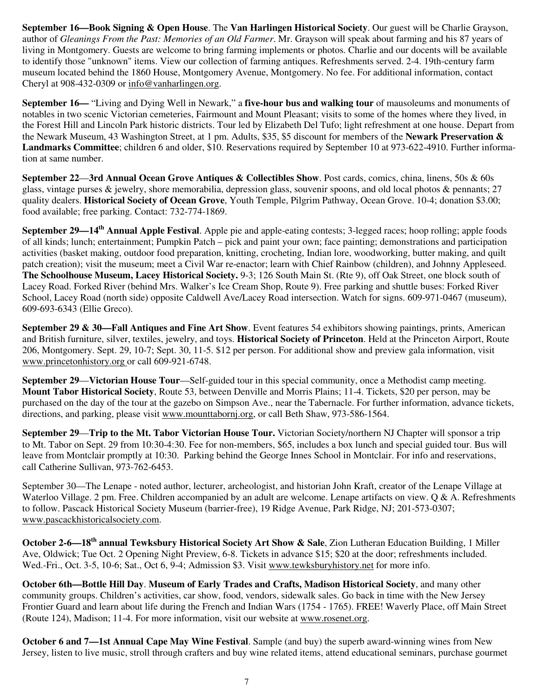**September 16—Book Signing & Open House**. The **Van Harlingen Historical Society**. Our guest will be Charlie Grayson, author of *Gleanings From the Past: Memories of an Old Farmer*. Mr. Grayson will speak about farming and his 87 years of living in Montgomery. Guests are welcome to bring farming implements or photos. Charlie and our docents will be available to identify those "unknown" items. View our collection of farming antiques. Refreshments served. 2-4. 19th-century farm museum located behind the 1860 House, Montgomery Avenue, Montgomery. No fee. For additional information, contact Cheryl at 908-432-0309 or info@vanharlingen.org.

**September 16—** "Living and Dying Well in Newark," a **five-hour bus and walking tour** of mausoleums and monuments of notables in two scenic Victorian cemeteries, Fairmount and Mount Pleasant; visits to some of the homes where they lived, in the Forest Hill and Lincoln Park historic districts. Tour led by Elizabeth Del Tufo; light refreshment at one house. Depart from the Newark Museum, 43 Washington Street, at 1 pm. Adults, \$35, \$5 discount for members of the **Newark Preservation & Landmarks Committee**; children 6 and older, \$10. Reservations required by September 10 at 973-622-4910. Further information at same number.

**September 22**—**3rd Annual Ocean Grove Antiques & Collectibles Show**. Post cards, comics, china, linens, 50s & 60s glass, vintage purses & jewelry, shore memorabilia, depression glass, souvenir spoons, and old local photos & pennants; 27 quality dealers. **Historical Society of Ocean Grove**, Youth Temple, Pilgrim Pathway, Ocean Grove. 10-4; donation \$3.00; food available; free parking. Contact: 732-774-1869.

**September 29—14th Annual Apple Festival**. Apple pie and apple-eating contests; 3-legged races; hoop rolling; apple foods of all kinds; lunch; entertainment; Pumpkin Patch – pick and paint your own; face painting; demonstrations and participation activities (basket making, outdoor food preparation, knitting, crocheting, Indian lore, woodworking, butter making, and quilt patch creation); visit the museum; meet a Civil War re-enactor; learn with Chief Rainbow (children), and Johnny Appleseed. **The Schoolhouse Museum, Lacey Historical Society.** 9-3; 126 South Main St. (Rte 9), off Oak Street, one block south of Lacey Road. Forked River (behind Mrs. Walker's Ice Cream Shop, Route 9). Free parking and shuttle buses: Forked River School, Lacey Road (north side) opposite Caldwell Ave/Lacey Road intersection. Watch for signs. 609-971-0467 (museum), 609-693-6343 (Ellie Greco).

**September 29 & 30—Fall Antiques and Fine Art Show**. Event features 54 exhibitors showing paintings, prints, American and British furniture, silver, textiles, jewelry, and toys. **Historical Society of Princeton**. Held at the Princeton Airport, Route 206, Montgomery. Sept. 29, 10-7; Sept. 30, 11-5. \$12 per person. For additional show and preview gala information, visit www.princetonhistory.org or call 609-921-6748.

**September 29**—**Victorian House Tour**—Self-guided tour in this special community, once a Methodist camp meeting. **Mount Tabor Historical Society**, Route 53, between Denville and Morris Plains; 11-4. Tickets, \$20 per person, may be purchased on the day of the tour at the gazebo on Simpson Ave., near the Tabernacle. For further information, advance tickets, directions, and parking, please visit www.mounttabornj.org, or call Beth Shaw, 973-586-1564.

**September 29—Trip to the Mt. Tabor Victorian House Tour.** Victorian Society/northern NJ Chapter will sponsor a trip to Mt. Tabor on Sept. 29 from 10:30-4:30. Fee for non-members, \$65, includes a box lunch and special guided tour. Bus will leave from Montclair promptly at 10:30. Parking behind the George Innes School in Montclair. For info and reservations, call Catherine Sullivan, 973-762-6453.

September 30—The Lenape - noted author, lecturer, archeologist, and historian John Kraft, creator of the Lenape Village at Waterloo Village. 2 pm. Free. Children accompanied by an adult are welcome. Lenape artifacts on view. Q & A. Refreshments to follow. Pascack Historical Society Museum (barrier-free), 19 Ridge Avenue, Park Ridge, NJ; 201-573-0307; www.pascackhistoricalsociety.com.

**October 2-6—18th annual Tewksbury Historical Society Art Show & Sale**, Zion Lutheran Education Building, 1 Miller Ave, Oldwick; Tue Oct. 2 Opening Night Preview, 6-8. Tickets in advance \$15; \$20 at the door; refreshments included. Wed.-Fri., Oct. 3-5, 10-6; Sat., Oct 6, 9-4; Admission \$3. Visit www.tewksburyhistory.net for more info.

**October 6th—Bottle Hill Day**. **Museum of Early Trades and Crafts, Madison Historical Society**, and many other community groups. Children's activities, car show, food, vendors, sidewalk sales. Go back in time with the New Jersey Frontier Guard and learn about life during the French and Indian Wars (1754 - 1765). FREE! Waverly Place, off Main Street (Route 124), Madison; 11-4. For more information, visit our website at www.rosenet.org.

**October 6 and 7—1st Annual Cape May Wine Festival**. Sample (and buy) the superb award-winning wines from New Jersey, listen to live music, stroll through crafters and buy wine related items, attend educational seminars, purchase gourmet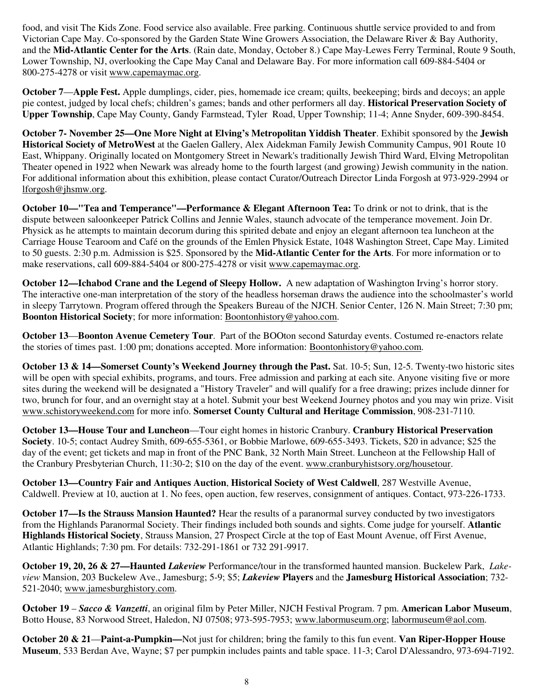food, and visit The Kids Zone. Food service also available. Free parking. Continuous shuttle service provided to and from Victorian Cape May. Co-sponsored by the Garden State Wine Growers Association, the Delaware River & Bay Authority, and the **Mid-Atlantic Center for the Arts**. (Rain date, Monday, October 8.) Cape May-Lewes Ferry Terminal, Route 9 South, Lower Township, NJ, overlooking the Cape May Canal and Delaware Bay. For more information call 609-884-5404 or 800-275-4278 or visit www.capemaymac.org.

**October 7**—**Apple Fest.** Apple dumplings, cider, pies, homemade ice cream; quilts, beekeeping; birds and decoys; an apple pie contest, judged by local chefs; children's games; bands and other performers all day. **Historical Preservation Society of Upper Township**, Cape May County, Gandy Farmstead, Tyler Road, Upper Township; 11-4; Anne Snyder, 609-390-8454.

**October 7- November 25—One More Night at Elving's Metropolitan Yiddish Theater**. Exhibit sponsored by the **Jewish Historical Society of MetroWest** at the Gaelen Gallery, Alex Aidekman Family Jewish Community Campus, 901 Route 10 East, Whippany. Originally located on Montgomery Street in Newark's traditionally Jewish Third Ward, Elving Metropolitan Theater opened in 1922 when Newark was already home to the fourth largest (and growing) Jewish community in the nation. For additional information about this exhibition, please contact Curator/Outreach Director Linda Forgosh at 973-929-2994 or lforgosh@jhsmw.org.

**October 10—"Tea and Temperance"—Performance & Elegant Afternoon Tea:** To drink or not to drink, that is the dispute between saloonkeeper Patrick Collins and Jennie Wales, staunch advocate of the temperance movement. Join Dr. Physick as he attempts to maintain decorum during this spirited debate and enjoy an elegant afternoon tea luncheon at the Carriage House Tearoom and Café on the grounds of the Emlen Physick Estate, 1048 Washington Street, Cape May. Limited to 50 guests. 2:30 p.m. Admission is \$25. Sponsored by the **Mid-Atlantic Center for the Arts**. For more information or to make reservations, call 609-884-5404 or 800-275-4278 or visit www.capemaymac.org.

**October 12—Ichabod Crane and the Legend of Sleepy Hollow.** A new adaptation of Washington Irving's horror story. The interactive one-man interpretation of the story of the headless horseman draws the audience into the schoolmaster's world in sleepy Tarrytown. Program offered through the Speakers Bureau of the NJCH. Senior Center, 126 N. Main Street; 7:30 pm; **Boonton Historical Society**; for more information: Boontonhistory@yahoo.com.

**October 13**—**Boonton Avenue Cemetery Tour**. Part of the BOOton second Saturday events. Costumed re-enactors relate the stories of times past. 1:00 pm; donations accepted. More information: Boontonhistory@yahoo.com.

**October 13 & 14—Somerset County's Weekend Journey through the Past.** Sat. 10-5; Sun, 12-5. Twenty-two historic sites will be open with special exhibits, programs, and tours. Free admission and parking at each site. Anyone visiting five or more sites during the weekend will be designated a "History Traveler" and will qualify for a free drawing; prizes include dinner for two, brunch for four, and an overnight stay at a hotel. Submit your best Weekend Journey photos and you may win prize. Visit www.schistoryweekend.com for more info. **Somerset County Cultural and Heritage Commission**, 908-231-7110.

**October 13—House Tour and Luncheon**—Tour eight homes in historic Cranbury. **Cranbury Historical Preservation Society**. 10-5; contact Audrey Smith, 609-655-5361, or Bobbie Marlowe, 609-655-3493. Tickets, \$20 in advance; \$25 the day of the event; get tickets and map in front of the PNC Bank, 32 North Main Street. Luncheon at the Fellowship Hall of the Cranbury Presbyterian Church, 11:30-2; \$10 on the day of the event. www.cranburyhistsory.org/housetour.

**October 13—Country Fair and Antiques Auction**, **Historical Society of West Caldwell**, 287 Westville Avenue, Caldwell. Preview at 10, auction at 1. No fees, open auction, few reserves, consignment of antiques. Contact, 973-226-1733.

**October 17—Is the Strauss Mansion Haunted?** Hear the results of a paranormal survey conducted by two investigators from the Highlands Paranormal Society. Their findings included both sounds and sights. Come judge for yourself. **Atlantic Highlands Historical Society**, Strauss Mansion, 27 Prospect Circle at the top of East Mount Avenue, off First Avenue, Atlantic Highlands; 7:30 pm. For details: 732-291-1861 or 732 291-9917.

**October 19, 20, 26 & 27—Haunted** *Lakeview* Performance/tour in the transformed haunted mansion. Buckelew Park, *Lakeview* Mansion, 203 Buckelew Ave., Jamesburg; 5-9; \$5; *Lakeview* **Players** and the **Jamesburg Historical Association**; 732- 521-2040; www.jamesburghistory.com.

**October 19** – *Sacco & Vanzetti*, an original film by Peter Miller, NJCH Festival Program. 7 pm. **American Labor Museum**, Botto House, 83 Norwood Street, Haledon, NJ 07508; 973-595-7953; www.labormuseum.org; labormuseum@aol.com.

**October 20 & 21**—**Paint-a-Pumpkin—**Not just for children; bring the family to this fun event. **Van Riper-Hopper House Museum**, 533 Berdan Ave, Wayne; \$7 per pumpkin includes paints and table space. 11-3; Carol D'Alessandro, 973-694-7192.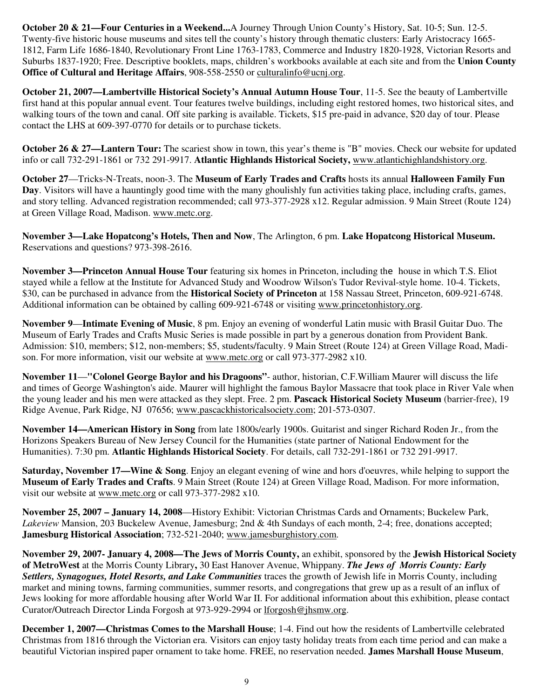**October 20 & 21—Four Centuries in a Weekend...**A Journey Through Union County's History, Sat. 10-5; Sun. 12-5. Twenty-five historic house museums and sites tell the county's history through thematic clusters: Early Aristocracy 1665- 1812, Farm Life 1686-1840, Revolutionary Front Line 1763-1783, Commerce and Industry 1820-1928, Victorian Resorts and Suburbs 1837-1920; Free. Descriptive booklets, maps, children's workbooks available at each site and from the **Union County Office of Cultural and Heritage Affairs**, 908-558-2550 or culturalinfo@ucnj.org.

**October 21, 2007—Lambertville Historical Society's Annual Autumn House Tour**, 11-5. See the beauty of Lambertville first hand at this popular annual event. Tour features twelve buildings, including eight restored homes, two historical sites, and walking tours of the town and canal. Off site parking is available. Tickets, \$15 pre-paid in advance, \$20 day of tour. Please contact the LHS at 609-397-0770 for details or to purchase tickets.

**October 26 & 27—Lantern Tour:** The scariest show in town, this year's theme is "B" movies. Check our website for updated info or call 732-291-1861 or 732 291-9917. **Atlantic Highlands Historical Society,** www.atlantichighlandshistory.org.

**October 27**—Tricks-N-Treats, noon-3. The **Museum of Early Trades and Crafts** hosts its annual **Halloween Family Fun Day**. Visitors will have a hauntingly good time with the many ghoulishly fun activities taking place, including crafts, games, and story telling. Advanced registration recommended; call 973-377-2928 x12. Regular admission. 9 Main Street (Route 124) at Green Village Road, Madison. www.metc.org.

**November 3—Lake Hopatcong's Hotels, Then and Now**, The Arlington, 6 pm. **Lake Hopatcong Historical Museum.**  Reservations and questions? 973-398-2616.

**November 3—Princeton Annual House Tour** featuring six homes in Princeton, including the house in which T.S. Eliot stayed while a fellow at the Institute for Advanced Study and Woodrow Wilson's Tudor Revival-style home. 10-4. Tickets, \$30, can be purchased in advance from the **Historical Society of Princeton** at 158 Nassau Street, Princeton, 609-921-6748. Additional information can be obtained by calling 609-921-6748 or visiting www.princetonhistory.org.

**November 9**—**Intimate Evening of Music**, 8 pm. Enjoy an evening of wonderful Latin music with Brasil Guitar Duo. The Museum of Early Trades and Crafts Music Series is made possible in part by a generous donation from Provident Bank. Admission: \$10, members; \$12, non-members; \$5, students/faculty. 9 Main Street (Route 124) at Green Village Road, Madison. For more information, visit our website at www.metc.org or call 973-377-2982 x10.

**November 11**—**"Colonel George Baylor and his Dragoons"**- author, historian, C.F.William Maurer will discuss the life and times of George Washington's aide. Maurer will highlight the famous Baylor Massacre that took place in River Vale when the young leader and his men were attacked as they slept. Free. 2 pm. **Pascack Historical Society Museum** (barrier-free), 19 Ridge Avenue, Park Ridge, NJ 07656; www.pascackhistoricalsociety.com; 201-573-0307.

**November 14—American History in Song** from late 1800s/early 1900s. Guitarist and singer Richard Roden Jr., from the Horizons Speakers Bureau of New Jersey Council for the Humanities (state partner of National Endowment for the Humanities). 7:30 pm. **Atlantic Highlands Historical Society**. For details, call 732-291-1861 or 732 291-9917.

**Saturday, November 17—Wine & Song**. Enjoy an elegant evening of wine and hors d'oeuvres, while helping to support the **Museum of Early Trades and Crafts**. 9 Main Street (Route 124) at Green Village Road, Madison. For more information, visit our website at www.metc.org or call 973-377-2982 x10.

**November 25, 2007 – January 14, 2008**—History Exhibit: Victorian Christmas Cards and Ornaments; Buckelew Park, *Lakeview* Mansion, 203 Buckelew Avenue, Jamesburg; 2nd & 4th Sundays of each month, 2-4; free, donations accepted; **Jamesburg Historical Association**; 732-521-2040; www.jamesburghistory.com.

**November 29, 2007- January 4, 2008—The Jews of Morris County,** an exhibit, sponsored by the **Jewish Historical Society of MetroWest** at the Morris County Library**,** 30 East Hanover Avenue, Whippany. *The Jews of Morris County: Early Settlers, Synagogues, Hotel Resorts, and Lake Communities* traces the growth of Jewish life in Morris County, including market and mining towns, farming communities, summer resorts, and congregations that grew up as a result of an influx of Jews looking for more affordable housing after World War II. For additional information about this exhibition, please contact Curator/Outreach Director Linda Forgosh at 973-929-2994 or lforgosh@jhsmw.org.

**December 1, 2007—Christmas Comes to the Marshall House**; 1-4. Find out how the residents of Lambertville celebrated Christmas from 1816 through the Victorian era. Visitors can enjoy tasty holiday treats from each time period and can make a beautiful Victorian inspired paper ornament to take home. FREE, no reservation needed. **James Marshall House Museum**,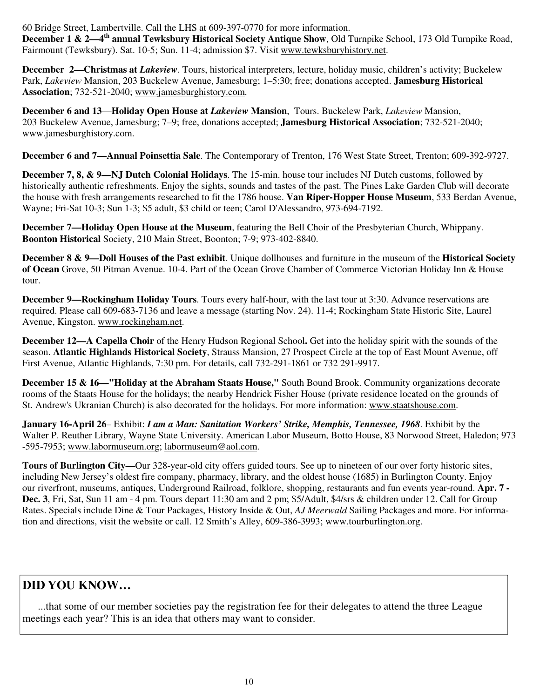60 Bridge Street, Lambertville. Call the LHS at 609-397-0770 for more information.

**December 1 & 2—4th annual Tewksbury Historical Society Antique Show**, Old Turnpike School, 173 Old Turnpike Road, Fairmount (Tewksbury). Sat. 10-5; Sun. 11-4; admission \$7. Visit www.tewksburyhistory.net.

**December 2—Christmas at** *Lakeview.* Tours, historical interpreters, lecture, holiday music, children's activity; Buckelew Park, *Lakeview* Mansion, 203 Buckelew Avenue, Jamesburg; 1–5:30; free; donations accepted. **Jamesburg Historical Association**; 732-521-2040; www.jamesburghistory.com.

**December 6 and 13**—**Holiday Open House at** *Lakeview* **Mansion**, Tours. Buckelew Park, *Lakeview* Mansion, 203 Buckelew Avenue, Jamesburg; 7–9; free, donations accepted; **Jamesburg Historical Association**; 732-521-2040; www.jamesburghistory.com.

**December 6 and 7—Annual Poinsettia Sale**. The Contemporary of Trenton, 176 West State Street, Trenton; 609-392-9727.

**December 7, 8, & 9—NJ Dutch Colonial Holidays**. The 15-min. house tour includes NJ Dutch customs, followed by historically authentic refreshments. Enjoy the sights, sounds and tastes of the past. The Pines Lake Garden Club will decorate the house with fresh arrangements researched to fit the 1786 house. **Van Riper-Hopper House Museum**, 533 Berdan Avenue, Wayne; Fri-Sat 10-3; Sun 1-3; \$5 adult, \$3 child or teen; Carol D'Alessandro, 973-694-7192.

**December 7—Holiday Open House at the Museum**, featuring the Bell Choir of the Presbyterian Church, Whippany. **Boonton Historical** Society, 210 Main Street, Boonton; 7-9; 973-402-8840.

**December 8 & 9—Doll Houses of the Past exhibit**. Unique dollhouses and furniture in the museum of the **Historical Society of Ocean** Grove, 50 Pitman Avenue. 10-4. Part of the Ocean Grove Chamber of Commerce Victorian Holiday Inn & House tour.

**December 9—Rockingham Holiday Tours**. Tours every half-hour, with the last tour at 3:30. Advance reservations are required. Please call 609-683-7136 and leave a message (starting Nov. 24). 11-4; Rockingham State Historic Site, Laurel Avenue, Kingston. www.rockingham.net.

**December 12—A Capella Choir** of the Henry Hudson Regional School. Get into the holiday spirit with the sounds of the season. **Atlantic Highlands Historical Society**, Strauss Mansion, 27 Prospect Circle at the top of East Mount Avenue, off First Avenue, Atlantic Highlands, 7:30 pm. For details, call 732-291-1861 or 732 291-9917.

**December 15 & 16—"Holiday at the Abraham Staats House,"** South Bound Brook. Community organizations decorate rooms of the Staats House for the holidays; the nearby Hendrick Fisher House (private residence located on the grounds of St. Andrew's Ukranian Church) is also decorated for the holidays. For more information: www.staatshouse.com.

**January 16-April 26**– Exhibit: *I am a Man: Sanitation Workers' Strike, Memphis, Tennessee, 1968*. Exhibit by the Walter P. Reuther Library, Wayne State University. American Labor Museum, Botto House, 83 Norwood Street, Haledon; 973 -595-7953; www.labormuseum.org; labormuseum@aol.com.

**Tours of Burlington City—**Our 328-year-old city offers guided tours. See up to nineteen of our over forty historic sites, including New Jersey's oldest fire company, pharmacy, library, and the oldest house (1685) in Burlington County. Enjoy our riverfront, museums, antiques, Underground Railroad, folklore, shopping, restaurants and fun events year-round. **Apr. 7 - Dec. 3**, Fri, Sat, Sun 11 am - 4 pm. Tours depart 11:30 am and 2 pm; \$5/Adult, \$4/srs & children under 12. Call for Group Rates. Specials include Dine & Tour Packages, History Inside & Out, *AJ Meerwald* Sailing Packages and more. For information and directions, visit the website or call. 12 Smith's Alley, 609-386-3993; www.tourburlington.org.

## **DID YOU KNOW…**

 ...that some of our member societies pay the registration fee for their delegates to attend the three League meetings each year? This is an idea that others may want to consider.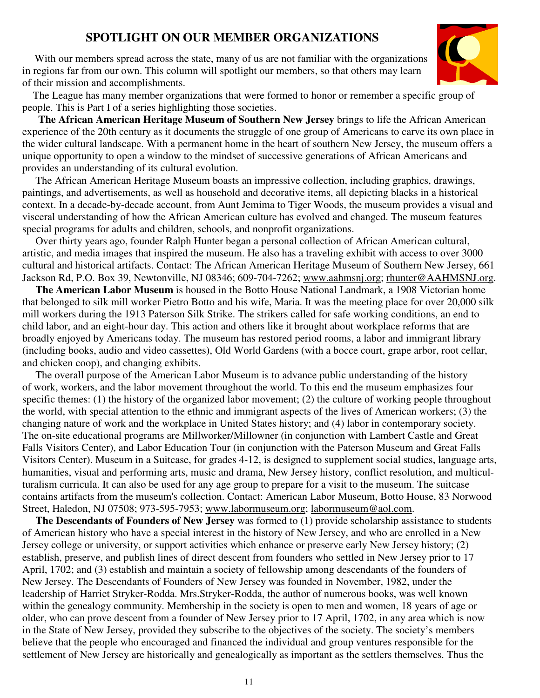## **SPOTLIGHT ON OUR MEMBER ORGANIZATIONS**

With our members spread across the state, many of us are not familiar with the organizations in regions far from our own. This column will spotlight our members, so that others may learn of their mission and accomplishments.



 The League has many member organizations that were formed to honor or remember a specific group of people. This is Part I of a series highlighting those societies.

 **The African American Heritage Museum of Southern New Jersey** brings to life the African American experience of the 20th century as it documents the struggle of one group of Americans to carve its own place in the wider cultural landscape. With a permanent home in the heart of southern New Jersey, the museum offers a unique opportunity to open a window to the mindset of successive generations of African Americans and provides an understanding of its cultural evolution.

 The African American Heritage Museum boasts an impressive collection, including graphics, drawings, paintings, and advertisements, as well as household and decorative items, all depicting blacks in a historical context. In a decade-by-decade account, from Aunt Jemima to Tiger Woods, the museum provides a visual and visceral understanding of how the African American culture has evolved and changed. The museum features special programs for adults and children, schools, and nonprofit organizations.

 Over thirty years ago, founder Ralph Hunter began a personal collection of African American cultural, artistic, and media images that inspired the museum. He also has a traveling exhibit with access to over 3000 cultural and historical artifacts. Contact: The African American Heritage Museum of Southern New Jersey, 661 Jackson Rd, P.O. Box 39, Newtonville, NJ 08346; 609-704-7262; www.aahmsnj.org; rhunter@AAHMSNJ.org.

 **The American Labor Museum** is housed in the Botto House National Landmark, a 1908 Victorian home that belonged to silk mill worker Pietro Botto and his wife, Maria. It was the meeting place for over 20,000 silk mill workers during the 1913 Paterson Silk Strike. The strikers called for safe working conditions, an end to child labor, and an eight-hour day. This action and others like it brought about workplace reforms that are broadly enjoyed by Americans today. The museum has restored period rooms, a labor and immigrant library (including books, audio and video cassettes), Old World Gardens (with a bocce court, grape arbor, root cellar, and chicken coop), and changing exhibits.

 The overall purpose of the American Labor Museum is to advance public understanding of the history of work, workers, and the labor movement throughout the world. To this end the museum emphasizes four specific themes: (1) the history of the organized labor movement; (2) the culture of working people throughout the world, with special attention to the ethnic and immigrant aspects of the lives of American workers; (3) the changing nature of work and the workplace in United States history; and (4) labor in contemporary society. The on-site educational programs are Millworker/Millowner (in conjunction with Lambert Castle and Great Falls Visitors Center), and Labor Education Tour (in conjunction with the Paterson Museum and Great Falls Visitors Center). Museum in a Suitcase, for grades 4-12, is designed to supplement social studies, language arts, humanities, visual and performing arts, music and drama, New Jersey history, conflict resolution, and multiculturalism curricula. It can also be used for any age group to prepare for a visit to the museum. The suitcase contains artifacts from the museum's collection. Contact: American Labor Museum, Botto House, 83 Norwood Street, Haledon, NJ 07508; 973-595-7953; www.labormuseum.org; labormuseum@aol.com.

 **The Descendants of Founders of New Jersey** was formed to (1) provide scholarship assistance to students of American history who have a special interest in the history of New Jersey, and who are enrolled in a New Jersey college or university, or support activities which enhance or preserve early New Jersey history; (2) establish, preserve, and publish lines of direct descent from founders who settled in New Jersey prior to 17 April, 1702; and (3) establish and maintain a society of fellowship among descendants of the founders of New Jersey. The Descendants of Founders of New Jersey was founded in November, 1982, under the leadership of Harriet Stryker-Rodda. Mrs.Stryker-Rodda, the author of numerous books, was well known within the genealogy community. Membership in the society is open to men and women, 18 years of age or older, who can prove descent from a founder of New Jersey prior to 17 April, 1702, in any area which is now in the State of New Jersey, provided they subscribe to the objectives of the society. The society's members believe that the people who encouraged and financed the individual and group ventures responsible for the settlement of New Jersey are historically and genealogically as important as the settlers themselves. Thus the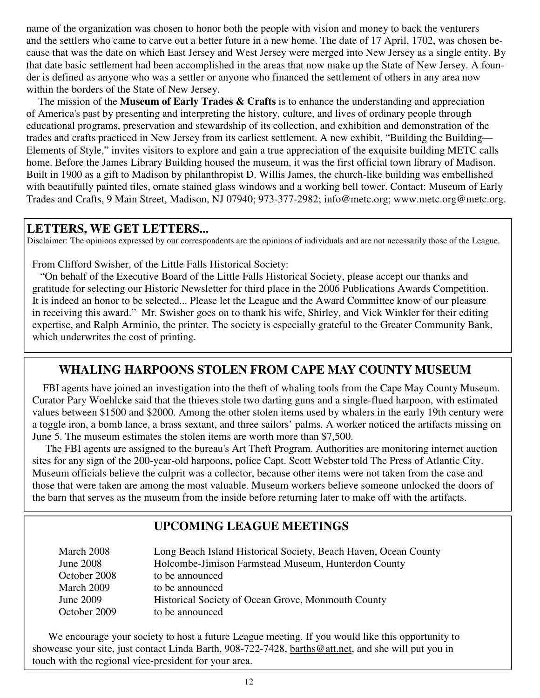name of the organization was chosen to honor both the people with vision and money to back the venturers and the settlers who came to carve out a better future in a new home. The date of 17 April, 1702, was chosen because that was the date on which East Jersey and West Jersey were merged into New Jersey as a single entity. By that date basic settlement had been accomplished in the areas that now make up the State of New Jersey. A founder is defined as anyone who was a settler or anyone who financed the settlement of others in any area now within the borders of the State of New Jersey.

 The mission of the **Museum of Early Trades & Crafts** is to enhance the understanding and appreciation of America's past by presenting and interpreting the history, culture, and lives of ordinary people through educational programs, preservation and stewardship of its collection, and exhibition and demonstration of the trades and crafts practiced in New Jersey from its earliest settlement. A new exhibit, "Building the Building— Elements of Style," invites visitors to explore and gain a true appreciation of the exquisite building METC calls home. Before the James Library Building housed the museum, it was the first official town library of Madison. Built in 1900 as a gift to Madison by philanthropist D. Willis James, the church-like building was embellished with beautifully painted tiles, ornate stained glass windows and a working bell tower. Contact: Museum of Early Trades and Crafts, 9 Main Street, Madison, NJ 07940; 973-377-2982; info@metc.org; www.metc.org@metc.org.

#### **LETTERS, WE GET LETTERS...**

Disclaimer: The opinions expressed by our correspondents are the opinions of individuals and are not necessarily those of the League.

From Clifford Swisher, of the Little Falls Historical Society:

 "On behalf of the Executive Board of the Little Falls Historical Society, please accept our thanks and gratitude for selecting our Historic Newsletter for third place in the 2006 Publications Awards Competition. It is indeed an honor to be selected... Please let the League and the Award Committee know of our pleasure in receiving this award." Mr. Swisher goes on to thank his wife, Shirley, and Vick Winkler for their editing expertise, and Ralph Arminio, the printer. The society is especially grateful to the Greater Community Bank, which underwrites the cost of printing.

## **WHALING HARPOONS STOLEN FROM CAPE MAY COUNTY MUSEUM**

 FBI agents have joined an investigation into the theft of whaling tools from the Cape May County Museum. Curator Pary Woehlcke said that the thieves stole two darting guns and a single-flued harpoon, with estimated values between \$1500 and \$2000. Among the other stolen items used by whalers in the early 19th century were a toggle iron, a bomb lance, a brass sextant, and three sailors' palms. A worker noticed the artifacts missing on June 5. The museum estimates the stolen items are worth more than \$7,500.

 The FBI agents are assigned to the bureau's Art Theft Program. Authorities are monitoring internet auction sites for any sign of the 200-year-old harpoons, police Capt. Scott Webster told The Press of Atlantic City. Museum officials believe the culprit was a collector, because other items were not taken from the case and those that were taken are among the most valuable. Museum workers believe someone unlocked the doors of the barn that serves as the museum from the inside before returning later to make off with the artifacts.

## **UPCOMING LEAGUE MEETINGS**

| March 2008       | Long Beach Island Historical Society, Beach Haven, Ocean County |
|------------------|-----------------------------------------------------------------|
| <b>June 2008</b> | Holcombe-Jimison Farmstead Museum, Hunterdon County             |
| October 2008     | to be announced                                                 |
| March 2009       | to be announced                                                 |
| June 2009        | Historical Society of Ocean Grove, Monmouth County              |
| October 2009     | to be announced                                                 |

 We encourage your society to host a future League meeting. If you would like this opportunity to showcase your site, just contact Linda Barth, 908-722-7428, barths@att.net, and she will put you in touch with the regional vice-president for your area.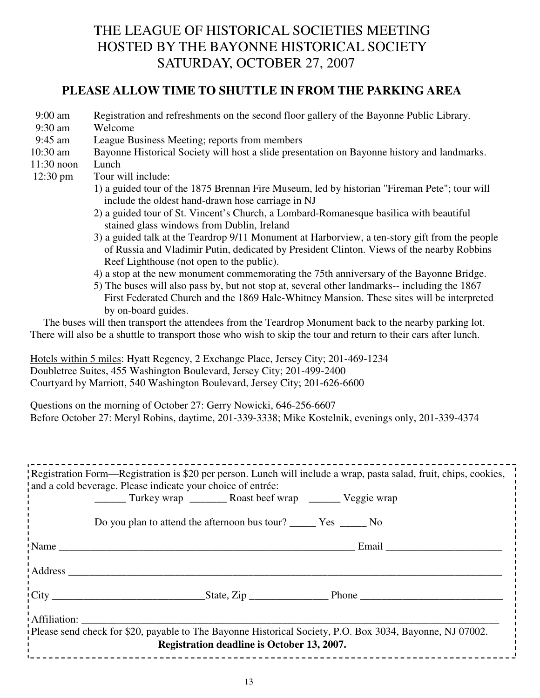# THE LEAGUE OF HISTORICAL SOCIETIES MEETING HOSTED BY THE BAYONNE HISTORICAL SOCIETY SATURDAY, OCTOBER 27, 2007

#### **PLEASE ALLOW TIME TO SHUTTLE IN FROM THE PARKING AREA**

- 9:00 am Registration and refreshments on the second floor gallery of the Bayonne Public Library.
- 9:30 am Welcome
- 9:45 am League Business Meeting; reports from members
- 10:30 am Bayonne Historical Society will host a slide presentation on Bayonne history and landmarks.
- 11:30 noon Lunch
- 12:30 pm Tour will include:
	- 1) a guided tour of the 1875 Brennan Fire Museum, led by historian "Fireman Pete"; tour will include the oldest hand-drawn hose carriage in NJ
	- 2) a guided tour of St. Vincent's Church, a Lombard-Romanesque basilica with beautiful stained glass windows from Dublin, Ireland
	- 3) a guided talk at the Teardrop 9/11 Monument at Harborview, a ten-story gift from the people of Russia and Vladimir Putin, dedicated by President Clinton. Views of the nearby Robbins Reef Lighthouse (not open to the public).
	- 4) a stop at the new monument commemorating the 75th anniversary of the Bayonne Bridge.
	- 5) The buses will also pass by, but not stop at, several other landmarks-- including the 1867 First Federated Church and the 1869 Hale-Whitney Mansion. These sites will be interpreted by on-board guides.

 The buses will then transport the attendees from the Teardrop Monument back to the nearby parking lot. There will also be a shuttle to transport those who wish to skip the tour and return to their cars after lunch.

Hotels within 5 miles: Hyatt Regency, 2 Exchange Place, Jersey City; 201-469-1234 Doubletree Suites, 455 Washington Boulevard, Jersey City; 201-499-2400 Courtyard by Marriott, 540 Washington Boulevard, Jersey City; 201-626-6600

Questions on the morning of October 27: Gerry Nowicki, 646-256-6607 Before October 27: Meryl Robins, daytime, 201-339-3338; Mike Kostelnik, evenings only, 201-339-4374

|                                                                                                          | Registration Form—Registration is \$20 per person. Lunch will include a wrap, pasta salad, fruit, chips, cookies, |  |  |
|----------------------------------------------------------------------------------------------------------|-------------------------------------------------------------------------------------------------------------------|--|--|
|                                                                                                          | and a cold beverage. Please indicate your choice of entrée:                                                       |  |  |
|                                                                                                          |                                                                                                                   |  |  |
|                                                                                                          |                                                                                                                   |  |  |
|                                                                                                          |                                                                                                                   |  |  |
|                                                                                                          |                                                                                                                   |  |  |
|                                                                                                          |                                                                                                                   |  |  |
|                                                                                                          | $\frac{1}{2}$ Name                                                                                                |  |  |
|                                                                                                          |                                                                                                                   |  |  |
|                                                                                                          |                                                                                                                   |  |  |
|                                                                                                          |                                                                                                                   |  |  |
|                                                                                                          |                                                                                                                   |  |  |
|                                                                                                          |                                                                                                                   |  |  |
|                                                                                                          |                                                                                                                   |  |  |
| Affiliation:                                                                                             |                                                                                                                   |  |  |
| Please send check for \$20, payable to The Bayonne Historical Society, P.O. Box 3034, Bayonne, NJ 07002. |                                                                                                                   |  |  |
| Registration deadline is October 13, 2007.                                                               |                                                                                                                   |  |  |
|                                                                                                          |                                                                                                                   |  |  |